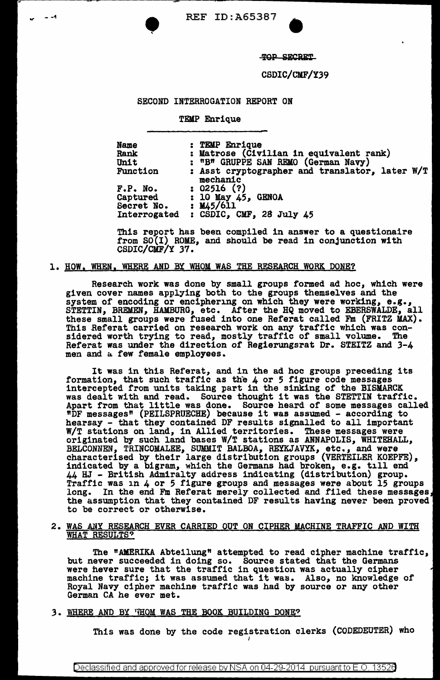



TOP SECRET

CSDIC/CMF/Y39

## SECOND INTERROGATION REPORT ON

TEMP Enrique

Name Rank Unit Function F.P. No. **Captured** Secret No. Interrogated : CSDIC, CMF, 28 July 45 : TEMP Enrique : Matrose (Civilian in equivalent rank) : "B" GRUPPE SAN REMO (German Navy) : Asst cryptographer and translator, later W/T mechanic : 02516 (?) :  $10$  May  $45$ , GENOA  $: 1145/611$ 

This report has been compiled in answer to a questionaire from SO(I) ROME, and should be read in conjunction with CSDIC/CMF/Y 37.

## 1. HOW, WHEN, WHERE AND BY WHOM WAS THE RESEARCH WORK DONE?

Research work was done by small groups formed ad hoc, which were given cover names applying both to the groups themselves and the system of encoding or enciphering on which they were working, e.g., STETTIN, BREMEN, HAMBURG, etc. After the HQ moved to EBERSWALDE, all these small groups were fused into one Referat called Fm (FRITZ MAX). these small groups were fused into one Referat called Fm (FRITZ MAX). This Referat carried on research work on any traffic which was considered worth trying to read, mostly traffic of small volume. The Referat was under the direction *ot* Regierungsrat Dr. STEITZ and 3-4 men and a few female employees.

It was in this Referat, and in the ad hoc groups preceding its formation, that such traffic as the 4 or 5 figure code messages intercepted from units taking part in the sinking of the BISMARCK intercepted from units taking part in the sinking of the Bibmanch<br>was dealt with and read. Source thought it was the STETTIN traffic. was dealt with and read. Source thought it was the Similin trainic.<br>Apart from that little was done. Source heard of some messages called Apart from that little was done. Source heard of some messages call<br>"DF messages" (PEILSPRUECHE) because it was assumed - according to hearsay - that they contained DF results signalled to all important W/T stations on land, in Allied territories. These messages were W/T stations on land, in Allied territories. These messages were originated by such land bases W/T stations as ANNAPOLIS, WHITEHALL, BELCONNEN, TRINCOMALEE, SUMMIT BALBOA, REYKJAVYK, etc., and were characterised by their large distribution groups (VERTEILER KOEPFE), indicated by a bigram, which the Germans had broken, e.g. till end 44 HJ - British Admiralty address indicating (distribution) group.<br>Traffic was in 4 or 5 figure groups and messages were about 15 groups<br>long. In the end Fm Referat merely collected and filed these messages,<br>the assumption the assumption that they contained DF results having never been proved to be correct or otherwise.

# 2. WAS ANY RESEARCH EVER CARRIED OUT ON CIPHER MACHINE TRAFFIC AND WITH WHAT RESULTS?

The "AMERIKA Abteilung" attempted to read cipher machine traffic, but never succeeded in doing so. Source stated that the Germans were hever sure that the traffic in question was actually cipher machine traffic; it was assumed that it was. Also, no knowledge of machine traffic; it was assumed that it was. Also, no knowledge of Royal Navy cipher machine traffic was had by source or any other German CA he ever met.

3. WHERE AND BY 'HOM WAS THE BOOK BUILDING DONE?

This was done by the code registration clerks (CODEDEUTER) who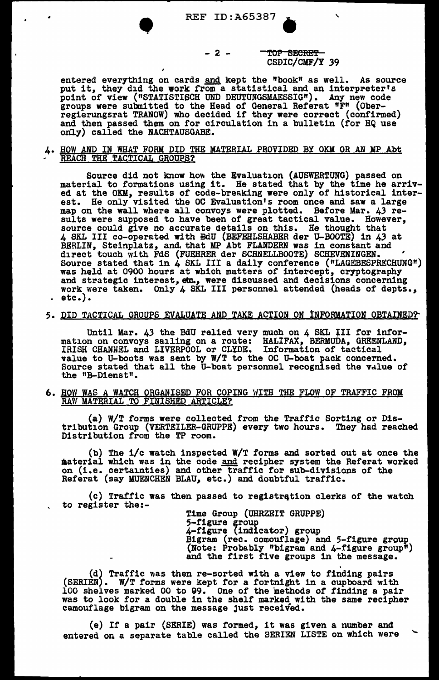### - 2 - TOP SECRET CSDIC/CMF/Y 39

entered everything on cards and kept the "book" as well. As source put it, they did the work from a statistical and an interpreter's point of view ("STATISTISCH UND DEUTUNGSMAESSIG"). Any new code groups were submitted to the Head of General Referat "F" (Ober-<br>regierungsrat TRANOW) who decided if they were correct (confirmed) and then passed them on for circulation in a bulletin (for HQ use only) called the NACHTAUSGABE.

### 4. HOW AND IN WHAT FORM DID THE MATERIAL PROVIDED BY OKM OR AN MP Abt REACH THE TACTICAL GROUPS?

Source did not know how the Evaluation (AUSWERTUNG) passed on material to formations using it. He stated that by the time he arrived at the OKM, results of code-breaking were only of historical interest. He only visited the OC Evaluation's room once and saw a large map on the wall where all convoys were plotted. Before Mar. 43 results were supposed to have been of great tactical value. However, source could give no accurate details on this. He thought that 4 SKL III co-operated with BdU (BEFEHLSHABER der U-BOOTE) in 43 at BERLIN, Steinplatz, and, that MP Abt FLANDERN was in constant and direct touch with FdS (FUEHRER der SCHNELLBOOTE) SCHEVENINGEN. ' Source stated that in 4 SKL III a daily conference ("LAGEBESPRECHUNG") was held at 0900 hours at which matters of intercept, cryptography and strategic interest, etc., were discussed and decisions concerning work were taken. Only 4 SKL III personnel attended (heads of depts., etc.).

### 5. DID TACTICAL GROUPS EVALUATE AND TAKE ACTION ON INFORMATION OBTAINED?

Until Mar. 43 the BdU relied very much on 4 SKL lII for information on convoys sailing on a route: HALIFAX, BERMUDA, GREENLAND, IRISH CHANNEL and LIVERPOOL or CLYDE. Information of tactical value to U-boots was sent by W/T to the OC U-boat pack concerned. Source stated that all the U-boat personnel recognised the value of the "B-Dienst".

#### 6. BOW WAS A WATCH ORGANISED FOR COPING WITH THE FLOW OF TRAFFIC FROM RAW MATERIAL TO FINISHED ARTICLE?

(a) W/T forms were collected from the Traffic Sorting or Distribution Group (VERTEILER-GRUPPE) every two hours. They had reached Distribution from the TP room.

(b) The i/c watch inspected W/T forms and sorted out at once the material which was 1n the code and recipher system the Referat worked on (i.e. certainties) and other traffic for sub-divisions or the Referat (say MUENCHEN BLAU, etc.) and doubtful traffic.

(c) Traffic was then passed to registration clerks of the watch to register the:-

Time Group (UHRZEIT GRUPPE)<br>5-figure group<br>4-figure (indicator) group<br>Bigram (rec. comouflage) and 5-figure group")<br>(Note: Probably "bigram and 4-figure group")<br>and the first five groups in the message.

(d) Traffic was then re-sorted with a view to finding pairs (SERIEN). W/T forms were kept for a fortnight in a cupboard with 100 shelves marked 00 to 99. One of the methods of finding a pair was to look for a double in the shelf marked with the same recipher camouflage bigram on the message just received.

(e) If a pair (SERIE) was formed, it was given a number and entered on a separate table called the SERIEN LISTE on which were